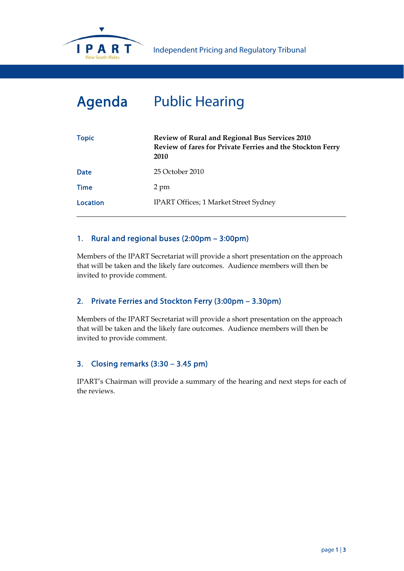

# Agenda Public Hearing

| <b>Topic</b> | <b>Review of Rural and Regional Bus Services 2010</b><br>Review of fares for Private Ferries and the Stockton Ferry<br>2010 |  |  |
|--------------|-----------------------------------------------------------------------------------------------------------------------------|--|--|
| <b>Date</b>  | 25 October 2010                                                                                                             |  |  |
| <b>Time</b>  | 2 pm                                                                                                                        |  |  |
| Location     | <b>IPART Offices; 1 Market Street Sydney</b>                                                                                |  |  |

#### 1. Rural and regional buses (2:00pm – 3:00pm)

Members of the IPART Secretariat will provide a short presentation on the approach that will be taken and the likely fare outcomes. Audience members will then be invited to provide comment.

### 2. Private Ferries and Stockton Ferry (3:00pm – 3.30pm)

Members of the IPART Secretariat will provide a short presentation on the approach that will be taken and the likely fare outcomes. Audience members will then be invited to provide comment.

#### 3. Closing remarks (3:30 – 3.45 pm)

IPART's Chairman will provide a summary of the hearing and next steps for each of the reviews.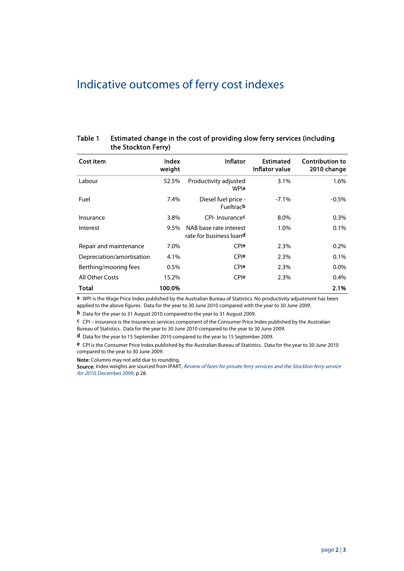## Indicative outcomes of ferry cost indexes

| Table 1 | Estimated change in the cost of providing slow ferry services (including |
|---------|--------------------------------------------------------------------------|
|         | the Stockton Ferry)                                                      |

| Cost item                 | Index<br>weight | <b>Inflator</b>                                   | <b>Estimated</b><br>Inflator value | <b>Contribution to</b><br>2010 change |
|---------------------------|-----------------|---------------------------------------------------|------------------------------------|---------------------------------------|
| Labour                    | 52.5%           | Productivity adjusted<br>WPIa                     | 3.1%                               | 1.6%                                  |
| Fuel                      | 7.4%            | Diesel fuel price -<br>Fueltracb                  | $-7.1\%$                           | $-0.5\%$                              |
| Insurance                 | 3.8%            | CPI- Insurancec                                   | 8.0%                               | $0.3\%$                               |
| Interest                  | $9.5\%$         | NAB base rate interest<br>rate for business loand | 1.0%                               | $0.1\%$                               |
| Repair and maintenance    | 7.0%            | <b>CPIe</b>                                       | 2.3%                               | 0.2%                                  |
| Depreciation/amortisation | 4.1%            | CPIe                                              | 2.3%                               | 0.1%                                  |
| Berthing/mooring fees     | $0.5\%$         | CPIe                                              | 2.3%                               | $0.0\%$                               |
| All Other Costs           | 15.2%           | CPIe                                              | 2.3%                               | 0.4%                                  |
| Total                     | 100.0%          |                                                   |                                    | 2.1%                                  |

a WPI is the Wage Price Index published by the Australian Bureau of Statistics. No productivity adjustment has been applied to the above figures. Data for the year to 30 June 2010 compared with the year to 30 June 2009.

b Data for the year to 31 August 2010 compared to the year to 31 August 2009.

c CPI – insurance is the Insurances services component of the Consumer Price Index published by the Australian

Bureau of Statistics. Data for the year to 30 June 2010 compared to the year to 30 June 2009.

d Data for the year to 15 September 2010 compared to the year to 15 September 2009.

e CPI is the Consumer Price Index published by the Australian Bureau of Statistics. Data for the year to 30 June 2010 compared to the year to 30 June 2009.

Note: Columns may not add due to rounding.

Source: Index weights are sourced from IPART, Review of fares for private ferry services and the Stockton ferry service for 2010, December 2009, p 28.